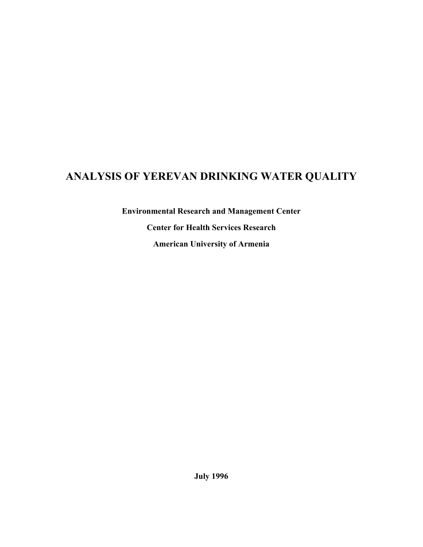# **ANALYSIS OF YEREVAN DRINKING WATER QUALITY**

**Environmental Research and Management Center Center for Health Services Research American University of Armenia**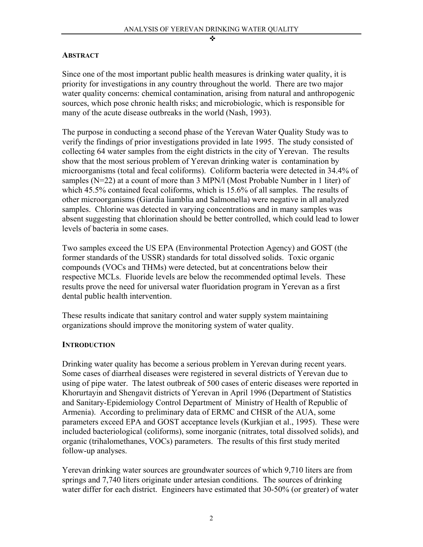#### **ABSTRACT**

Since one of the most important public health measures is drinking water quality, it is priority for investigations in any country throughout the world. There are two major water quality concerns: chemical contamination, arising from natural and anthropogenic sources, which pose chronic health risks; and microbiologic, which is responsible for many of the acute disease outbreaks in the world (Nash, 1993).

The purpose in conducting a second phase of the Yerevan Water Quality Study was to verify the findings of prior investigations provided in late 1995. The study consisted of collecting 64 water samples from the eight districts in the city of Yerevan. The results show that the most serious problem of Yerevan drinking water is contamination by microorganisms (total and fecal coliforms). Coliform bacteria were detected in 34.4% of samples (N=22) at a count of more than 3 MPN/l (Most Probable Number in 1 liter) of which 45.5% contained fecal coliforms, which is 15.6% of all samples. The results of other microorganisms (Giardia liamblia and Salmonella) were negative in all analyzed samples. Chlorine was detected in varying concentrations and in many samples was absent suggesting that chlorination should be better controlled, which could lead to lower levels of bacteria in some cases.

Two samples exceed the US EPA (Environmental Protection Agency) and GOST (the former standards of the USSR) standards for total dissolved solids. Toxic organic compounds (VOCs and THMs) were detected, but at concentrations below their respective MCLs. Fluoride levels are below the recommended optimal levels. These results prove the need for universal water fluoridation program in Yerevan as a first dental public health intervention.

These results indicate that sanitary control and water supply system maintaining organizations should improve the monitoring system of water quality.

#### **INTRODUCTION**

Drinking water quality has become a serious problem in Yerevan during recent years. Some cases of diarrheal diseases were registered in several districts of Yerevan due to using of pipe water. The latest outbreak of 500 cases of enteric diseases were reported in Khorurtayin and Shengavit districts of Yerevan in April 1996 (Department of Statistics and Sanitary-Epidemiology Control Department of Ministry of Health of Republic of Armenia). According to preliminary data of ERMC and CHSR of the AUA, some parameters exceed EPA and GOST acceptance levels (Kurkjian et al., 1995). These were included bacteriological (coliforms), some inorganic (nitrates, total dissolved solids), and organic (trihalomethanes, VOCs) parameters. The results of this first study merited follow-up analyses.

Yerevan drinking water sources are groundwater sources of which 9,710 liters are from springs and 7,740 liters originate under artesian conditions. The sources of drinking water differ for each district. Engineers have estimated that 30-50% (or greater) of water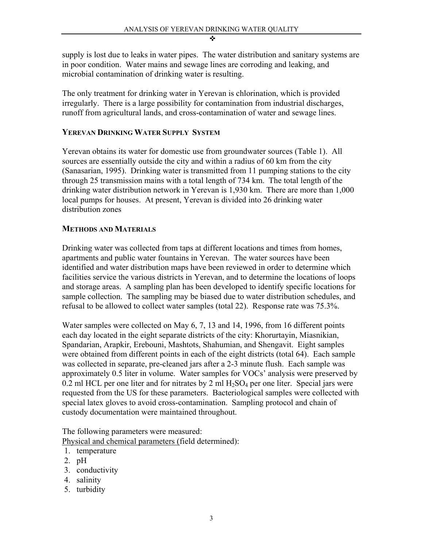supply is lost due to leaks in water pipes. The water distribution and sanitary systems are in poor condition. Water mains and sewage lines are corroding and leaking, and microbial contamination of drinking water is resulting.

The only treatment for drinking water in Yerevan is chlorination, which is provided irregularly. There is a large possibility for contamination from industrial discharges, runoff from agricultural lands, and cross-contamination of water and sewage lines.

### **YEREVAN DRINKING WATER SUPPLY SYSTEM**

Yerevan obtains its water for domestic use from groundwater sources (Table 1). All sources are essentially outside the city and within a radius of 60 km from the city (Sanasarian, 1995). Drinking water is transmitted from 11 pumping stations to the city through 25 transmission mains with a total length of 734 km. The total length of the drinking water distribution network in Yerevan is 1,930 km. There are more than 1,000 local pumps for houses. At present, Yerevan is divided into 26 drinking water distribution zones

### **METHODS AND MATERIALS**

Drinking water was collected from taps at different locations and times from homes, apartments and public water fountains in Yerevan. The water sources have been identified and water distribution maps have been reviewed in order to determine which facilities service the various districts in Yerevan, and to determine the locations of loops and storage areas. A sampling plan has been developed to identify specific locations for sample collection. The sampling may be biased due to water distribution schedules, and refusal to be allowed to collect water samples (total 22). Response rate was 75.3%.

Water samples were collected on May 6, 7, 13 and 14, 1996, from 16 different points each day located in the eight separate districts of the city: Khorurtayin, Miasnikian, Spandarian, Arapkir, Erebouni, Mashtots, Shahumian, and Shengavit. Eight samples were obtained from different points in each of the eight districts (total 64). Each sample was collected in separate, pre-cleaned jars after a 2-3 minute flush. Each sample was approximately 0.5 liter in volume. Water samples for VOCs' analysis were preserved by 0.2 ml HCL per one liter and for nitrates by 2 ml  $H_2SO_4$  per one liter. Special jars were requested from the US for these parameters. Bacteriological samples were collected with special latex gloves to avoid cross-contamination. Sampling protocol and chain of custody documentation were maintained throughout.

The following parameters were measured: Physical and chemical parameters (field determined):

- 1. temperature
- 2. pH
- 3. conductivity
- 4. salinity
- 5. turbidity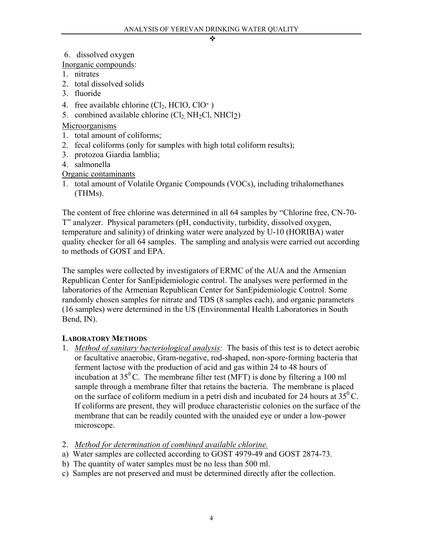6. dissolved oxygen

Inorganic compounds:

- 1. nitrates
- 2. total dissolved solids
- 3. fluoride
- 4. free available chlorine  $(Cl<sub>2</sub>, HClO, ClO<sup>-</sup>)$
- 5. combined available chlorine  $(Cl_2, NH_2Cl, NHCl_2)$

## Microorganisms

- 1. total amount of coliforms;
- 2. fecal coliforms (only for samples with high total coliform results);
- 3. protozoa Giardia lamblia;
- 4. salmonella

Organic contaminants

1. total amount of Volatile Organic Compounds (VOCs), including trihalomethanes (THMs).

The content of free chlorine was determined in all 64 samples by "Chlorine free, CN-70- T" analyzer. Physical parameters (pH, conductivity, turbidity, dissolved oxygen, temperature and salinity) of drinking water were analyzed by U-10 (HORIBA) water quality checker for all 64 samples. The sampling and analysis were carried out according to methods of GOST and EPA.

The samples were collected by investigators of ERMC of the AUA and the Armenian Republican Center for SanEpidemiologic control. The analyses were performed in the laboratories of the Armenian Republican Center for SanEpidemiologic Control. Some randomly chosen samples for nitrate and TDS (8 samples each), and organic parameters (16 samples) were determined in the US (Environmental Health Laboratories in South Bend, IN).

## **LABORATORY METHODS**

- 1. *Method of sanitary bacteriological analysis:* The basis of this test is to detect aerobic or facultative anaerobic, Gram-negative, rod-shaped, non-spore-forming bacteria that ferment lactose with the production of acid and gas within 24 to 48 hours of incubation at  $35^{\circ}$ C. The membrane filter test (MFT) is done by filtering a 100 ml sample through a membrane filter that retains the bacteria. The membrane is placed on the surface of coliform medium in a petri dish and incubated for 24 hours at  $35^{\circ}$ C. If coliforms are present, they will produce characteristic colonies on the surface of the membrane that can be readily counted with the unaided eye or under a low-power microscope.
- 2. *Method for determination of combined available chlorine.*
- a) Water samples are collected according to GOST 4979-49 and GOST 2874-73.
- b) The quantity of water samples must be no less than 500 ml.
- c) Samples are not preserved and must be determined directly after the collection.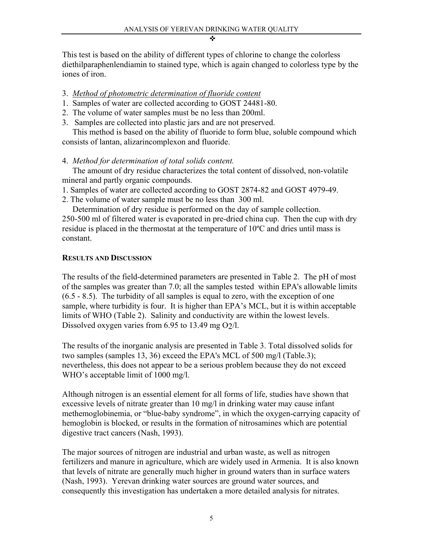This test is based on the ability of different types of chlorine to change the colorless diethilparaphenlendiamin to stained type, which is again changed to colorless type by the iones of iron.

### 3. *Method of photometric determination of fluoride content*

- 1. Samples of water are collected according to GOST 24481-80.
- 2. The volume of water samples must be no less than 200ml.
- 3. Samples are collected into plastic jars and are not preserved.

 This method is based on the ability of fluoride to form blue, soluble compound which consists of lantan, alizarincomplexon and fluoride.

## 4. *Method for determination of total solids content.*

 The amount of dry residue characterizes the total content of dissolved, non-volatile mineral and partly organic compounds.

1. Samples of water are collected according to GOST 2874-82 and GOST 4979-49.

2. The volume of water sample must be no less than 300 ml.

Determination of dry residue is performed on the day of sample collection.

250-500 ml of filtered water is evaporated in pre-dried china cup. Then the cup with dry residue is placed in the thermostat at the temperature of 10ºC and dries until mass is constant.

## **RESULTS AND DISCUSSION**

The results of the field-determined parameters are presented in Table 2. The pH of most of the samples was greater than 7.0; all the samples tested within EPA's allowable limits (6.5 - 8.5). The turbidity of all samples is equal to zero, with the exception of one sample, where turbidity is four. It is higher than EPA's MCL, but it is within acceptable limits of WHO (Table 2). Salinity and conductivity are within the lowest levels. Dissolved oxygen varies from 6.95 to 13.49 mg  $O<sub>2</sub>/l$ .

The results of the inorganic analysis are presented in Table 3. Total dissolved solids for two samples (samples 13, 36) exceed the EPA's MCL of 500 mg/l (Table.3); nevertheless, this does not appear to be a serious problem because they do not exceed WHO's acceptable limit of 1000 mg/l.

Although nitrogen is an essential element for all forms of life, studies have shown that excessive levels of nitrate greater than 10 mg/l in drinking water may cause infant methemoglobinemia, or "blue-baby syndrome", in which the oxygen-carrying capacity of hemoglobin is blocked, or results in the formation of nitrosamines which are potential digestive tract cancers (Nash, 1993).

The major sources of nitrogen are industrial and urban waste, as well as nitrogen fertilizers and manure in agriculture, which are widely used in Armenia. It is also known that levels of nitrate are generally much higher in ground waters than in surface waters (Nash, 1993). Yerevan drinking water sources are ground water sources, and consequently this investigation has undertaken a more detailed analysis for nitrates.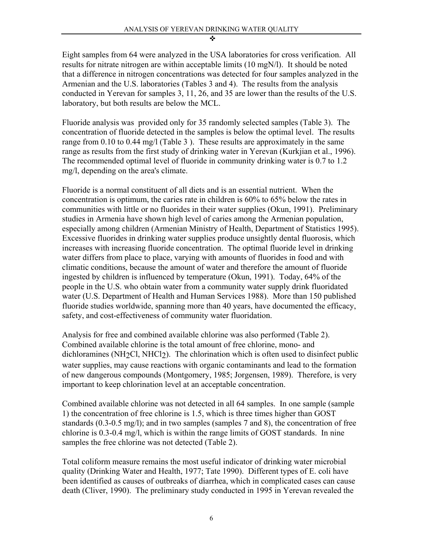Eight samples from 64 were analyzed in the USA laboratories for cross verification. All results for nitrate nitrogen are within acceptable limits (10 mgN/l). It should be noted that a difference in nitrogen concentrations was detected for four samples analyzed in the Armenian and the U.S. laboratories (Tables 3 and 4). The results from the analysis conducted in Yerevan for samples 3, 11, 26, and 35 are lower than the results of the U.S. laboratory, but both results are below the MCL.

Fluoride analysis was provided only for 35 randomly selected samples (Table 3). The concentration of fluoride detected in the samples is below the optimal level. The results range from 0.10 to 0.44 mg/l (Table 3 ). These results are approximately in the same range as results from the first study of drinking water in Yerevan (Kurkjian et al., 1996). The recommended optimal level of fluoride in community drinking water is 0.7 to 1.2 mg/l, depending on the area's climate.

Fluoride is a normal constituent of all diets and is an essential nutrient. When the concentration is optimum, the caries rate in children is 60% to 65% below the rates in communities with little or no fluorides in their water supplies (Okun, 1991). Preliminary studies in Armenia have shown high level of caries among the Armenian population, especially among children (Armenian Ministry of Health, Department of Statistics 1995). Excessive fluorides in drinking water supplies produce unsightly dental fluorosis, which increases with increasing fluoride concentration. The optimal fluoride level in drinking water differs from place to place, varying with amounts of fluorides in food and with climatic conditions, because the amount of water and therefore the amount of fluoride ingested by children is influenced by temperature (Okun, 1991). Today, 64% of the people in the U.S. who obtain water from a community water supply drink fluoridated water (U.S. Department of Health and Human Services 1988). More than 150 published fluoride studies worldwide, spanning more than 40 years, have documented the efficacy, safety, and cost-effectiveness of community water fluoridation.

Analysis for free and combined available chlorine was also performed (Table 2). Combined available chlorine is the total amount of free chlorine, mono- and dichloramines (NH<sub>2</sub>Cl, NHCl<sub>2</sub>). The chlorination which is often used to disinfect public water supplies, may cause reactions with organic contaminants and lead to the formation of new dangerous compounds (Montgomery, 1985; Jorgensen, 1989). Therefore, is very important to keep chlorination level at an acceptable concentration.

Combined available chlorine was not detected in all 64 samples. In one sample (sample 1) the concentration of free chlorine is 1.5, which is three times higher than GOST standards (0.3-0.5 mg/l); and in two samples (samples 7 and 8), the concentration of free chlorine is 0.3-0.4 mg/l, which is within the range limits of GOST standards. In nine samples the free chlorine was not detected (Table 2).

Total coliform measure remains the most useful indicator of drinking water microbial quality (Drinking Water and Health, 1977; Tate 1990). Different types of E. coli have been identified as causes of outbreaks of diarrhea, which in complicated cases can cause death (Cliver, 1990). The preliminary study conducted in 1995 in Yerevan revealed the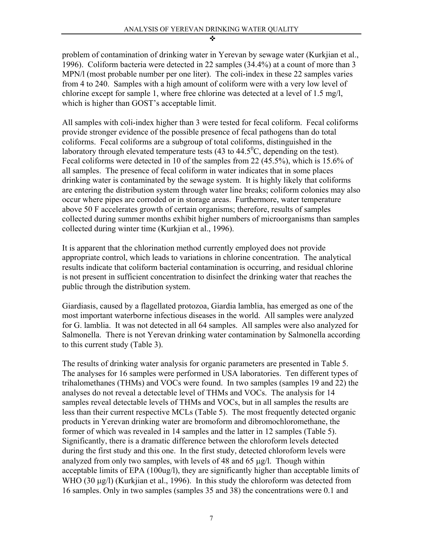problem of contamination of drinking water in Yerevan by sewage water (Kurkjian et al., 1996). Coliform bacteria were detected in 22 samples (34.4%) at a count of more than 3 MPN/l (most probable number per one liter). The coli-index in these 22 samples varies from 4 to 240. Samples with a high amount of coliform were with a very low level of chlorine except for sample 1, where free chlorine was detected at a level of 1.5 mg/l, which is higher than GOST's acceptable limit.

All samples with coli-index higher than 3 were tested for fecal coliform. Fecal coliforms provide stronger evidence of the possible presence of fecal pathogens than do total coliforms. Fecal coliforms are a subgroup of total coliforms, distinguished in the laboratory through elevated temperature tests (43 to  $44.5^{\circ}$ C, depending on the test). Fecal coliforms were detected in 10 of the samples from 22 (45.5%), which is 15.6% of all samples. The presence of fecal coliform in water indicates that in some places drinking water is contaminated by the sewage system. It is highly likely that coliforms are entering the distribution system through water line breaks; coliform colonies may also occur where pipes are corroded or in storage areas. Furthermore, water temperature above 50 F accelerates growth of certain organisms; therefore, results of samples collected during summer months exhibit higher numbers of microorganisms than samples collected during winter time (Kurkjian et al., 1996).

It is apparent that the chlorination method currently employed does not provide appropriate control, which leads to variations in chlorine concentration. The analytical results indicate that coliform bacterial contamination is occurring, and residual chlorine is not present in sufficient concentration to disinfect the drinking water that reaches the public through the distribution system.

Giardiasis, caused by a flagellated protozoa, Giardia lamblia, has emerged as one of the most important waterborne infectious diseases in the world. All samples were analyzed for G. lamblia. It was not detected in all 64 samples. All samples were also analyzed for Salmonella. There is not Yerevan drinking water contamination by Salmonella according to this current study (Table 3).

The results of drinking water analysis for organic parameters are presented in Table 5. The analyses for 16 samples were performed in USA laboratories. Ten different types of trihalomethanes (THMs) and VOCs were found. In two samples (samples 19 and 22) the analyses do not reveal a detectable level of THMs and VOCs. The analysis for 14 samples reveal detectable levels of THMs and VOCs, but in all samples the results are less than their current respective MCLs (Table 5). The most frequently detected organic products in Yerevan drinking water are bromoform and dibromochloromethane, the former of which was revealed in 14 samples and the latter in 12 samples (Table 5). Significantly, there is a dramatic difference between the chloroform levels detected during the first study and this one. In the first study, detected chloroform levels were analyzed from only two samples, with levels of 48 and 65 µg/l. Though within acceptable limits of EPA (100ug/l), they are significantly higher than acceptable limits of WHO (30  $\mu$ g/l) (Kurkjian et al., 1996). In this study the chloroform was detected from 16 samples. Only in two samples (samples 35 and 38) the concentrations were 0.1 and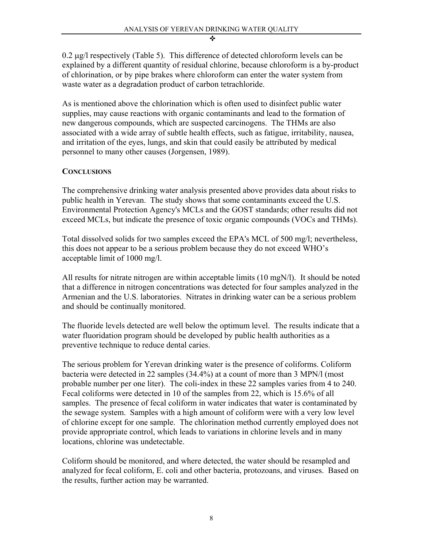0.2 µg/l respectively (Table 5). This difference of detected chloroform levels can be explained by a different quantity of residual chlorine, because chloroform is a by-product of chlorination, or by pipe brakes where chloroform can enter the water system from waste water as a degradation product of carbon tetrachloride.

As is mentioned above the chlorination which is often used to disinfect public water supplies, may cause reactions with organic contaminants and lead to the formation of new dangerous compounds, which are suspected carcinogens. The THMs are also associated with a wide array of subtle health effects, such as fatigue, irritability, nausea, and irritation of the eyes, lungs, and skin that could easily be attributed by medical personnel to many other causes (Jorgensen, 1989).

### **CONCLUSIONS**

The comprehensive drinking water analysis presented above provides data about risks to public health in Yerevan. The study shows that some contaminants exceed the U.S. Environmental Protection Agency's MCLs and the GOST standards; other results did not exceed MCLs, but indicate the presence of toxic organic compounds (VOCs and THMs).

Total dissolved solids for two samples exceed the EPA's MCL of 500 mg/l; nevertheless, this does not appear to be a serious problem because they do not exceed WHO's acceptable limit of 1000 mg/l.

All results for nitrate nitrogen are within acceptable limits (10 mgN/l). It should be noted that a difference in nitrogen concentrations was detected for four samples analyzed in the Armenian and the U.S. laboratories. Nitrates in drinking water can be a serious problem and should be continually monitored.

The fluoride levels detected are well below the optimum level. The results indicate that a water fluoridation program should be developed by public health authorities as a preventive technique to reduce dental caries.

The serious problem for Yerevan drinking water is the presence of coliforms. Coliform bacteria were detected in 22 samples (34.4%) at a count of more than 3 MPN/l (most probable number per one liter). The coli-index in these 22 samples varies from 4 to 240. Fecal coliforms were detected in 10 of the samples from 22, which is 15.6% of all samples. The presence of fecal coliform in water indicates that water is contaminated by the sewage system. Samples with a high amount of coliform were with a very low level of chlorine except for one sample. The chlorination method currently employed does not provide appropriate control, which leads to variations in chlorine levels and in many locations, chlorine was undetectable.

Coliform should be monitored, and where detected, the water should be resampled and analyzed for fecal coliform, E. coli and other bacteria, protozoans, and viruses. Based on the results, further action may be warranted.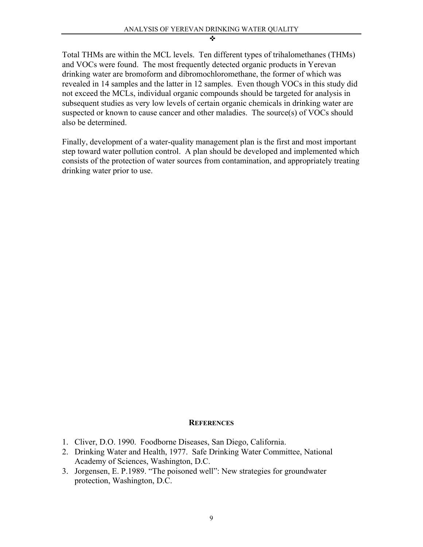Total THMs are within the MCL levels. Ten different types of trihalomethanes (THMs) and VOCs were found. The most frequently detected organic products in Yerevan drinking water are bromoform and dibromochloromethane, the former of which was revealed in 14 samples and the latter in 12 samples. Even though VOCs in this study did not exceed the MCLs, individual organic compounds should be targeted for analysis in subsequent studies as very low levels of certain organic chemicals in drinking water are suspected or known to cause cancer and other maladies. The source(s) of VOCs should also be determined.

Finally, development of a water-quality management plan is the first and most important step toward water pollution control. A plan should be developed and implemented which consists of the protection of water sources from contamination, and appropriately treating drinking water prior to use.

#### **REFERENCES**

- 1. Cliver, D.O. 1990. Foodborne Diseases, San Diego, California.
- 2. Drinking Water and Health, 1977. Safe Drinking Water Committee, National Academy of Sciences, Washington, D.C.
- 3. Jorgensen, E. P.1989. "The poisoned well": New strategies for groundwater protection, Washington, D.C.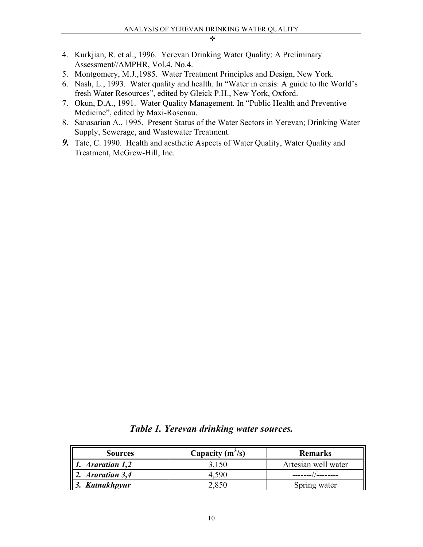- 4. Kurkjian, R. et al., 1996. Yerevan Drinking Water Quality: A Preliminary Assessment//AMPHR, Vol.4, No.4.
- 5. Montgomery, M.J.,1985. Water Treatment Principles and Design, New York.
- 6. Nash, L., 1993. Water quality and health. In "Water in crisis: A guide to the World's fresh Water Resources", edited by Gleick P.H., New York, Oxford.
- 7. Okun, D.A., 1991. Water Quality Management. In "Public Health and Preventive Medicine", edited by Maxi-Rosenau.
- 8. Sanasarian A., 1995. Present Status of the Water Sectors in Yerevan; Drinking Water Supply, Sewerage, and Wastewater Treatment.
- *9.* Tate, C. 1990. Health and aesthetic Aspects of Water Quality, Water Quality and Treatment, McGrew-Hill, Inc.

| <b>Sources</b>               | Capacity $(m^3/s)$ | <b>Remarks</b>      |  |  |
|------------------------------|--------------------|---------------------|--|--|
| $\parallel$ 1. Araratian 1,2 | 3,150              | Artesian well water |  |  |
| $\parallel$ 2. Araratian 3,4 | 4.590              |                     |  |  |
| $\vert$ 3. Katnakhpyur       | 2.850              | Spring water        |  |  |

*Table 1. Yerevan drinking water sources.*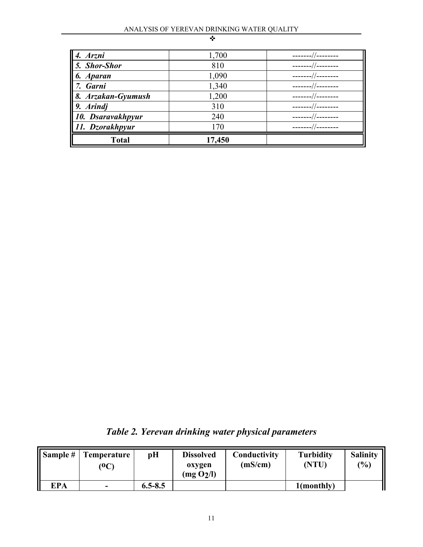| <b>Total</b><br>II             | 17,450 |  |
|--------------------------------|--------|--|
| 11. Dzorakhpyur                | 70     |  |
| 10. Dsaravakhpyur              | 240    |  |
| $9.$ Arindj                    | 310    |  |
| 8. Arzakan-Gyumush             | 1,200  |  |
| $\parallel$ 7.<br><b>Garni</b> | 1,340  |  |
| <b>Aparan</b>                  | 1,090  |  |
| $\vert$ 5. Shor-Shor           | 810    |  |
| $\sqrt{4}$ .<br>Arzni          | 1,700  |  |

*Table 2. Yerevan drinking water physical parameters* 

|            | Sample $#$   Temperature<br>$\rm ^{(0}C)$ | pH          | <b>Dissolved</b><br>oxygen<br>(mg O <sub>2</sub> /l) | Conductivity<br>(mS/cm) | <b>Turbidity</b><br>(NTU) | <b>Salinity</b><br>(%) |
|------------|-------------------------------------------|-------------|------------------------------------------------------|-------------------------|---------------------------|------------------------|
| <b>EPA</b> | $\overline{\phantom{a}}$                  | $6.5 - 8.5$ |                                                      |                         | 1(monthly)                |                        |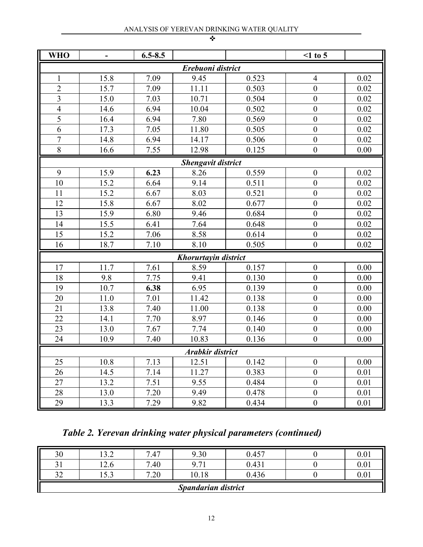|  | m. |
|--|----|
|  |    |
|  |    |

| <b>WHO</b>     |      | $6.5 - 8.5$ |                           |       | $\leq 1$ to 5    |      |
|----------------|------|-------------|---------------------------|-------|------------------|------|
|                |      |             | Erebuoni district         |       |                  |      |
| $\mathbf{1}$   | 15.8 | 7.09        | 9.45                      | 0.523 | 4                | 0.02 |
| $\overline{2}$ | 15.7 | 7.09        | 11.11                     | 0.503 | $\overline{0}$   | 0.02 |
| 3              | 15.0 | 7.03        | 10.71                     | 0.504 | $\boldsymbol{0}$ | 0.02 |
| $\overline{4}$ | 14.6 | 6.94        | 10.04                     | 0.502 | $\overline{0}$   | 0.02 |
| 5              | 16.4 | 6.94        | 7.80                      | 0.569 | $\overline{0}$   | 0.02 |
| 6              | 17.3 | 7.05        | 11.80                     | 0.505 | $\mathbf{0}$     | 0.02 |
| $\overline{7}$ | 14.8 | 6.94        | 14.17                     | 0.506 | $\boldsymbol{0}$ | 0.02 |
| 8              | 16.6 | 7.55        | 12.98                     | 0.125 | $\overline{0}$   | 0.00 |
|                |      |             | <b>Shengavit district</b> |       |                  |      |
| 9              | 15.9 | 6.23        | 8.26                      | 0.559 | $\boldsymbol{0}$ | 0.02 |
| 10             | 15.2 | 6.64        | 9.14                      | 0.511 | $\overline{0}$   | 0.02 |
| 11             | 15.2 | 6.67        | 8.03                      | 0.521 | $\boldsymbol{0}$ | 0.02 |
| 12             | 15.8 | 6.67        | 8.02                      | 0.677 | $\mathbf{0}$     | 0.02 |
| 13             | 15.9 | 6.80        | 9.46                      | 0.684 | $\boldsymbol{0}$ | 0.02 |
| 14             | 15.5 | 6.41        | 7.64                      | 0.648 | $\boldsymbol{0}$ | 0.02 |
| 15             | 15.2 | 7.06        | 8.58                      | 0.614 | $\mathbf{0}$     | 0.02 |
| 16             | 18.7 | 7.10        | 8.10                      | 0.505 | $\boldsymbol{0}$ | 0.02 |
|                |      |             | Khorurtayin district      |       |                  |      |
| 17             | 11.7 | 7.61        | 8.59                      | 0.157 | $\boldsymbol{0}$ | 0.00 |
| 18             | 9.8  | 7.75        | 9.41                      | 0.130 | $\mathbf{0}$     | 0.00 |
| 19             | 10.7 | 6.38        | 6.95                      | 0.139 | $\boldsymbol{0}$ | 0.00 |
| 20             | 11.0 | 7.01        | 11.42                     | 0.138 | $\boldsymbol{0}$ | 0.00 |
| 21             | 13.8 | 7.40        | 11.00                     | 0.138 | $\boldsymbol{0}$ | 0.00 |
| 22             | 14.1 | 7.70        | 8.97                      | 0.146 | $\overline{0}$   | 0.00 |
| 23             | 13.0 | 7.67        | 7.74                      | 0.140 | $\boldsymbol{0}$ | 0.00 |
| 24             | 10.9 | 7.40        | 10.83                     | 0.136 | $\mathbf{0}$     | 0.00 |
|                |      |             | <b>Arabkir district</b>   |       |                  |      |
| 25             | 10.8 | 7.13        | 12.51                     | 0.142 | $\boldsymbol{0}$ | 0.00 |
| 26             | 14.5 | 7.14        | 11.27                     | 0.383 | $\boldsymbol{0}$ | 0.01 |
| 27             | 13.2 | 7.51        | 9.55                      | 0.484 | $\mathbf{0}$     | 0.01 |
| 28             | 13.0 | 7.20        | 9.49                      | 0.478 | $\boldsymbol{0}$ | 0.01 |
| 29             | 13.3 | 7.29        | 9.82                      | 0.434 | $\boldsymbol{0}$ | 0.01 |

*Table 2. Yerevan drinking water physical parameters (continued)* 

| 30                             | $\sqrt{2}$<br>1 J.Z | 7.47                         | 9.30                       | 0.457 | 0.01 |
|--------------------------------|---------------------|------------------------------|----------------------------|-------|------|
| $\sim$ 1<br>JІ                 | 14.U                | $\overline{ }$<br>.40        | 0.71                       | 0.431 | 0.01 |
| $\mathbf{A}$<br>$J\mathcal{L}$ | $\sqrt{2}$<br>1.3.3 | $\overline{ }$<br>$\cdot 20$ | 10.18                      | 0.436 | 0.01 |
|                                |                     |                              | <b>Spandarian district</b> |       |      |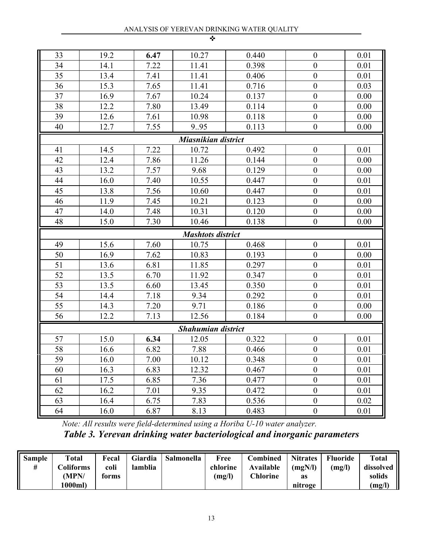| . .<br>. . |  |
|------------|--|
|            |  |

| 33                  | 19.2 | 6.47 | 10.27                     | 0.440 | $\boldsymbol{0}$ | 0.01     |  |  |  |  |
|---------------------|------|------|---------------------------|-------|------------------|----------|--|--|--|--|
| 34                  | 14.1 | 7.22 | 11.41                     | 0.398 | $\mathbf{0}$     | 0.01     |  |  |  |  |
| 35                  | 13.4 | 7.41 | 11.41                     | 0.406 | $\boldsymbol{0}$ | 0.01     |  |  |  |  |
| 36                  | 15.3 | 7.65 | 11.41                     | 0.716 | $\mathbf{0}$     | 0.03     |  |  |  |  |
| 37                  | 16.9 | 7.67 | 10.24                     | 0.137 | $\boldsymbol{0}$ | 0.00     |  |  |  |  |
| 38                  | 12.2 | 7.80 | 13.49                     | 0.114 | $\mathbf{0}$     | 0.00     |  |  |  |  |
| 39                  | 12.6 | 7.61 | 10.98                     | 0.118 | $\boldsymbol{0}$ | 0.00     |  |  |  |  |
| 40                  | 12.7 | 7.55 | 9.95                      | 0.113 | $\boldsymbol{0}$ | 0.00     |  |  |  |  |
| Miasnikian district |      |      |                           |       |                  |          |  |  |  |  |
| 41                  | 14.5 | 7.22 | 10.72                     | 0.492 | $\boldsymbol{0}$ | 0.01     |  |  |  |  |
| 42                  | 12.4 | 7.86 | 11.26                     | 0.144 | $\overline{0}$   | 0.00     |  |  |  |  |
| 43                  | 13.2 | 7.57 | 9.68                      | 0.129 | $\boldsymbol{0}$ | 0.00     |  |  |  |  |
| 44                  | 16.0 | 7.40 | 10.55                     | 0.447 | $\boldsymbol{0}$ | 0.01     |  |  |  |  |
| 45                  | 13.8 | 7.56 | 10.60                     | 0.447 | $\boldsymbol{0}$ | 0.01     |  |  |  |  |
| 46                  | 11.9 | 7.45 | 10.21                     | 0.123 | $\mathbf{0}$     | 0.00     |  |  |  |  |
| 47                  | 14.0 | 7.48 | 10.31                     | 0.120 | $\boldsymbol{0}$ | 0.00     |  |  |  |  |
| 48                  | 15.0 | 7.30 | 10.46                     | 0.138 | $\boldsymbol{0}$ | 0.00     |  |  |  |  |
|                     |      |      | <b>Mashtots district</b>  |       |                  |          |  |  |  |  |
| 49                  | 15.6 | 7.60 | 10.75                     | 0.468 | $\boldsymbol{0}$ | 0.01     |  |  |  |  |
| 50                  | 16.9 | 7.62 | 10.83                     | 0.193 | $\boldsymbol{0}$ | 0.00     |  |  |  |  |
| 51                  | 13.6 | 6.81 | 11.85                     | 0.297 | $\boldsymbol{0}$ | 0.01     |  |  |  |  |
| 52                  | 13.5 | 6.70 | 11.92                     | 0.347 | $\mathbf{0}$     | 0.01     |  |  |  |  |
| 53                  | 13.5 | 6.60 | 13.45                     | 0.350 | $\mathbf{0}$     | 0.01     |  |  |  |  |
| 54                  | 14.4 | 7.18 | 9.34                      | 0.292 | $\boldsymbol{0}$ | 0.01     |  |  |  |  |
| 55                  | 14.3 | 7.20 | 9.71                      | 0.186 | $\boldsymbol{0}$ | 0.00     |  |  |  |  |
| 56                  | 12.2 | 7.13 | 12.56                     | 0.184 | $\boldsymbol{0}$ | 0.00     |  |  |  |  |
|                     |      |      | <b>Shahumian district</b> |       |                  |          |  |  |  |  |
| 57                  | 15.0 | 6.34 | 12.05                     | 0.322 | $\boldsymbol{0}$ | 0.01     |  |  |  |  |
| 58                  | 16.6 | 6.82 | 7.88                      | 0.466 | $\boldsymbol{0}$ | 0.01     |  |  |  |  |
| 59                  | 16.0 | 7.00 | 10.12                     | 0.348 | $\boldsymbol{0}$ | $0.01\,$ |  |  |  |  |
| 60                  | 16.3 | 6.83 | 12.32                     | 0.467 | $\boldsymbol{0}$ | 0.01     |  |  |  |  |
| 61                  | 17.5 | 6.85 | 7.36                      | 0.477 | $\boldsymbol{0}$ | 0.01     |  |  |  |  |
| 62                  | 16.2 | 7.01 | 9.35                      | 0.472 | $\boldsymbol{0}$ | 0.01     |  |  |  |  |
| 63                  | 16.4 | 6.75 | 7.83                      | 0.536 | $\boldsymbol{0}$ | 0.02     |  |  |  |  |
| 64                  | 16.0 | 6.87 | 8.13                      | 0.483 | $\boldsymbol{0}$ | 0.01     |  |  |  |  |

*Note: All results were field-determined using a Horiba U-10 water analyzer. Table 3. Yerevan drinking water bacteriological and inorganic parameters* 

| Sample | <b>Total</b> | Fecal | Giardia | <b>Salmonella</b> | Free     | <b>Combined</b> | <b>Nitrates</b> | <b>Fluoride</b> | <b>Total</b> |
|--------|--------------|-------|---------|-------------------|----------|-----------------|-----------------|-----------------|--------------|
| #      | Coliforms    | coli  | lamblia |                   | chlorine | Available       | (mgN/l)         | (mg/l)          | dissolved    |
|        | (MPN/        | forms |         |                   | (mg/l)   | Chlorine        | as              |                 | solids       |
|        | 1000ml)      |       |         |                   |          |                 | nitroge         |                 | (mg/l)       |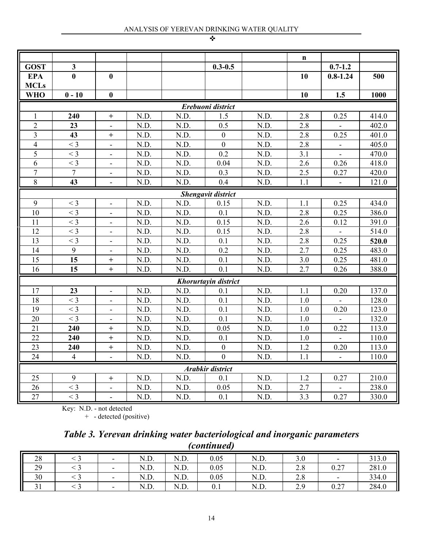|                         |                |                              |      |      |                           |      | $\mathbf n$ |                |       |
|-------------------------|----------------|------------------------------|------|------|---------------------------|------|-------------|----------------|-------|
| <b>GOST</b>             | 3              |                              |      |      | $0.3 - 0.5$               |      |             | $0.7 - 1.2$    |       |
| <b>EPA</b>              | $\bf{0}$       | $\bf{0}$                     |      |      |                           |      | 10          | $0.8 - 1.24$   | 500   |
| <b>MCLs</b>             |                |                              |      |      |                           |      |             |                |       |
| <b>WHO</b>              | $0 - 10$       | $\bf{0}$                     |      |      |                           |      | 10          | 1.5            | 1000  |
| Erebuoni district       |                |                              |      |      |                           |      |             |                |       |
| 1                       | 240            | $\ddot{}$                    | N.D. | N.D. | 1.5                       | N.D. | 2.8         | 0.25           | 414.0 |
| $\overline{2}$          | 23             |                              | N.D. | N.D. | 0.5                       | N.D. | 2.8         |                | 402.0 |
| $\overline{\mathbf{3}}$ | 43             | $\boldsymbol{+}$             | N.D. | N.D. | $\boldsymbol{0}$          | N.D. | 2.8         | 0.25           | 401.0 |
| 4                       | $<$ 3          | $\overline{\phantom{a}}$     | N.D. | N.D. | $\boldsymbol{0}$          | N.D. | 2.8         | ÷              | 405.0 |
| 5                       | $<$ 3          |                              | N.D. | N.D. | 0.2                       | N.D. | 3.1         |                | 470.0 |
| 6                       | $<$ 3          |                              | N.D. | N.D. | 0.04                      | N.D. | 2.6         | 0.26           | 418.0 |
| $\overline{7}$          | $\overline{7}$ | $\qquad \qquad \blacksquare$ | N.D. | N.D. | 0.3                       | N.D. | 2.5         | 0.27           | 420.0 |
| 8                       | 43             | $\blacksquare$               | N.D. | N.D. | 0.4                       | N.D. | 1.1         | $\blacksquare$ | 121.0 |
|                         |                |                              |      |      | <b>Shengavit district</b> |      |             |                |       |
| 9                       | $<$ 3          | ÷,                           | N.D. | N.D. | 0.15                      | N.D. | 1.1         | 0.25           | 434.0 |
| 10                      | $<$ 3          |                              | N.D. | N.D. | 0.1                       | N.D. | 2.8         | 0.25           | 386.0 |
| 11                      | $<$ 3          |                              | N.D. | N.D. | 0.15                      | N.D. | 2.6         | 0.12           | 391.0 |
| 12                      | $<$ 3          | $\blacksquare$               | N.D. | N.D. | 0.15                      | N.D. | 2.8         |                | 514.0 |
| 13                      | $<$ 3          | $\overline{a}$               | N.D. | N.D. | 0.1                       | N.D. | 2.8         | 0.25           | 520.0 |
| 14                      | 9              |                              | N.D. | N.D. | 0.2                       | N.D. | 2.7         | 0.25           | 483.0 |
| 15                      | 15             | $+$                          | N.D. | N.D. | 0.1                       | N.D. | 3.0         | 0.25           | 481.0 |
| 16                      | 15             | $\ddot{}$                    | N.D. | N.D. | 0.1                       | N.D. | 2.7         | 0.26           | 388.0 |
|                         |                |                              |      |      | Khorurtayin district      |      |             |                |       |
| 17                      | 23             |                              | N.D. | N.D. | 0.1                       | N.D. | 1.1         | 0.20           | 137.0 |
| 18                      | $<$ 3          |                              | N.D. | N.D. | 0.1                       | N.D. | 1.0         |                | 128.0 |
| 19                      | $<$ 3          | $\overline{\phantom{a}}$     | N.D. | N.D. | 0.1                       | N.D. | 1.0         | 0.20           | 123.0 |
| 20                      | $<$ 3          |                              | N.D. | N.D. | 0.1                       | N.D. | 1.0         |                | 132.0 |
| $\overline{21}$         | 240            | $\ddot{}$                    | N.D. | N.D. | 0.05                      | N.D. | 1.0         | 0.22           | 113.0 |
| 22                      | 240            | $\ddot{}$                    | N.D. | N.D. | 0.1                       | N.D. | 1.0         |                | 110.0 |
| 23                      | 240            | $\! + \!$                    | N.D. | N.D. | $\boldsymbol{0}$          | N.D. | 1.2         | 0.20           | 113.0 |
| 24                      | $\overline{4}$ | $\blacksquare$               | N.D. | N.D. | $\theta$                  | N.D. | 1.1         | $\blacksquare$ | 110.0 |
|                         |                |                              |      |      | <b>Arabkir district</b>   |      |             |                |       |
| 25                      | 9              | $\! + \!$                    | N.D. | N.D. | 0.1                       | N.D. | 1.2         | 0.27           | 210.0 |
| 26                      | $<$ 3          |                              | N.D. | N.D. | 0.05                      | N.D. | 2.7         |                | 238.0 |
| 27                      | $<$ 3          |                              | N.D. | N.D. | 0.1                       | N.D. | 3.3         | 0.27           | 330.0 |

Key: N.D. - not detected + - detected (positive)

| Table 3. Yerevan drinking water bacteriological and inorganic parameters |                    |  |  |
|--------------------------------------------------------------------------|--------------------|--|--|
|                                                                          | <i>(continued)</i> |  |  |

| 28        | -                        | 1 T T<br>N.D.        | N.D. | 0.05 | N.D. | J.U              |      | 313.0 |
|-----------|--------------------------|----------------------|------|------|------|------------------|------|-------|
| 29        | $\overline{\phantom{0}}$ | $\mathbf{r}$<br>N.D. | N.D. | 0.05 | N.D. | $\angle 0$       | 0.27 | 281.0 |
| 30        | -                        | NT TV<br>N.D.        | N.D. | 0.05 | N.D. | $\angle 0$       |      | 334.0 |
| <u>Ji</u> | $\overline{\phantom{0}}$ | N.D.                 | N.D. | 0.1  | N.D. | $\overline{a}$ . | 0.27 | 284.0 |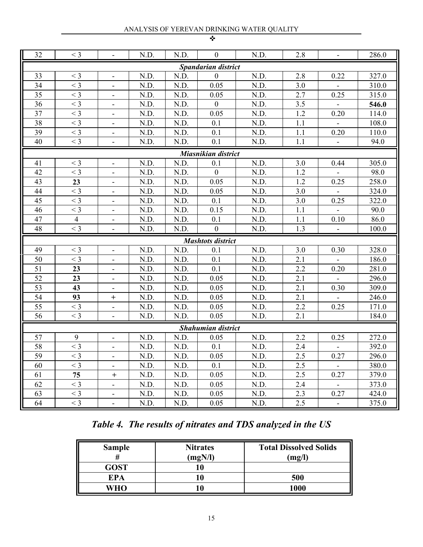| 32<br>N.D.<br>2.8<br>$<$ 3<br>$\mathbf{0}$                                                     |                     |                                  |      |      |                           |      |     |                          |       |  |  |  |
|------------------------------------------------------------------------------------------------|---------------------|----------------------------------|------|------|---------------------------|------|-----|--------------------------|-------|--|--|--|
|                                                                                                |                     | $\overline{\phantom{a}}$         | N.D. | N.D. |                           |      |     | $\overline{\phantom{a}}$ | 286.0 |  |  |  |
| <b>Spandarian district</b>                                                                     |                     |                                  |      |      |                           |      |     |                          |       |  |  |  |
| 33                                                                                             | $<$ 3               | Ξ.                               | N.D. | N.D. | $\mathbf{0}$              | N.D. | 2.8 | 0.22                     | 327.0 |  |  |  |
| 34                                                                                             | $<$ 3               | $\blacksquare$                   | N.D. | N.D. | 0.05                      | N.D. | 3.0 |                          | 310.0 |  |  |  |
| 35                                                                                             | $<$ 3               |                                  | N.D. | N.D. | 0.05                      | N.D. | 2.7 | 0.25                     | 315.0 |  |  |  |
| 36                                                                                             | $<$ 3               | $\overline{\phantom{a}}$         | N.D. | N.D. | $\boldsymbol{0}$          | N.D. | 3.5 |                          | 546.0 |  |  |  |
| 37                                                                                             | $<$ 3               |                                  | N.D. | N.D. | 0.05                      | N.D. | 1.2 | 0.20                     | 114.0 |  |  |  |
| 38                                                                                             | $<$ 3               | Ξ.                               | N.D. | N.D. | 0.1                       | N.D. | 1.1 |                          | 108.0 |  |  |  |
| 39                                                                                             | $<$ 3               |                                  | N.D. | N.D. | 0.1                       | N.D. | 1.1 | 0.20                     | 110.0 |  |  |  |
| 40                                                                                             | $<$ 3               | $\overline{\phantom{a}}$         | N.D. | N.D. | 0.1                       | N.D. | 1.1 | $\blacksquare$           | 94.0  |  |  |  |
|                                                                                                | Miasnikian district |                                  |      |      |                           |      |     |                          |       |  |  |  |
| N.D.<br>N.D.<br>3.0<br>41<br>$<$ 3<br>N.D.<br>0.1<br>305.0<br>0.44<br>$\overline{\phantom{a}}$ |                     |                                  |      |      |                           |      |     |                          |       |  |  |  |
| 42                                                                                             | $<$ 3               | Ξ.                               | N.D. | N.D. | $\theta$                  | N.D. | 1.2 |                          | 98.0  |  |  |  |
| 43                                                                                             | 23                  |                                  | N.D. | N.D. | 0.05                      | N.D. | 1.2 | 0.25                     | 258.0 |  |  |  |
| 44                                                                                             | $<$ 3               | $\overline{\phantom{a}}$         | N.D. | N.D. | 0.05                      | N.D. | 3.0 |                          | 324.0 |  |  |  |
| 45                                                                                             | $<$ 3               | $\blacksquare$                   | N.D. | N.D. | 0.1                       | N.D. | 3.0 | 0.25                     | 322.0 |  |  |  |
| 46                                                                                             | $<$ 3               | $\overline{\phantom{a}}$         | N.D. | N.D. | 0.15                      | N.D. | 1.1 |                          | 90.0  |  |  |  |
| 47                                                                                             | $\overline{4}$      | -                                | N.D. | N.D. | 0.1                       | N.D. | 1.1 | 0.10                     | 86.0  |  |  |  |
| 48                                                                                             | $<$ 3               | $\overline{\phantom{a}}$         | N.D. | N.D. | $\boldsymbol{0}$          | N.D. | 1.3 | $\blacksquare$           | 100.0 |  |  |  |
|                                                                                                |                     |                                  |      |      | <b>Mashtots district</b>  |      |     |                          |       |  |  |  |
| 49                                                                                             | $<$ 3               | $\overline{\phantom{a}}$         | N.D. | N.D. | 0.1                       | N.D. | 3.0 | 0.30                     | 328.0 |  |  |  |
| 50                                                                                             | $<$ 3               | $\blacksquare$                   | N.D. | N.D. | 0.1                       | N.D. | 2.1 |                          | 186.0 |  |  |  |
| 51                                                                                             | 23                  |                                  | N.D. | N.D. | 0.1                       | N.D. | 2.2 | 0.20                     | 281.0 |  |  |  |
| 52                                                                                             | 23                  | $\overline{\phantom{a}}$         | N.D. | N.D. | 0.05                      | N.D. | 2.1 |                          | 296.0 |  |  |  |
| 53                                                                                             | 43                  |                                  | N.D. | N.D. | 0.05                      | N.D. | 2.1 | 0.30                     | 309.0 |  |  |  |
| 54                                                                                             | 93                  | $^{+}$                           | N.D. | N.D. | 0.05                      | N.D. | 2.1 |                          | 246.0 |  |  |  |
| 55                                                                                             | $<$ 3               | $\overline{\phantom{a}}$         | N.D. | N.D. | 0.05                      | N.D. | 2.2 | 0.25                     | 171.0 |  |  |  |
| 56                                                                                             | $<$ 3               | $\overline{\phantom{a}}$         | N.D. | N.D. | 0.05                      | N.D. | 2.1 |                          | 184.0 |  |  |  |
|                                                                                                |                     |                                  |      |      | <b>Shahumian district</b> |      |     |                          |       |  |  |  |
| 57                                                                                             | 9                   |                                  | N.D. | N.D. | 0.05                      | N.D. | 2.2 | 0.25                     | 272.0 |  |  |  |
| 58                                                                                             | $<$ 3               | $\overline{\phantom{a}}$         | N.D. | N.D. | 0.1                       | N.D. | 2.4 |                          | 392.0 |  |  |  |
| 59                                                                                             | $<$ 3               | ۰.                               | N.D. | N.D. | 0.05                      | N.D. | 2.5 | 0.27                     | 296.0 |  |  |  |
| 60                                                                                             | $<$ 3               | $\overline{\phantom{a}}$         | N.D. | N.D. | 0.1                       | N.D. | 2.5 | $\blacksquare$           | 380.0 |  |  |  |
| 61                                                                                             | 75                  | $\begin{array}{c} + \end{array}$ | N.D. | N.D. | 0.05                      | N.D. | 2.5 | 0.27                     | 379.0 |  |  |  |
| 62                                                                                             | $<$ 3               | $\overline{\phantom{a}}$         | N.D. | N.D. | 0.05                      | N.D. | 2.4 | $\blacksquare$           | 373.0 |  |  |  |
| 63                                                                                             | $<$ 3               | $\blacksquare$                   | N.D. | N.D. | 0.05                      | N.D. | 2.3 | 0.27                     | 424.0 |  |  |  |
| 64                                                                                             | $<$ 3               | $\overline{\phantom{a}}$         | N.D. | N.D. | 0.05                      | N.D. | 2.5 | $\blacksquare$           | 375.0 |  |  |  |

# *Table 4. The results of nitrates and TDS analyzed in the US*

| <b>Sample</b> | <b>Nitrates</b><br>(mgN/I) | <b>Total Dissolved Solids</b><br>mg/ |
|---------------|----------------------------|--------------------------------------|
| GOST          |                            |                                      |
| EPA           |                            | 500                                  |
| WHO           |                            | 1000                                 |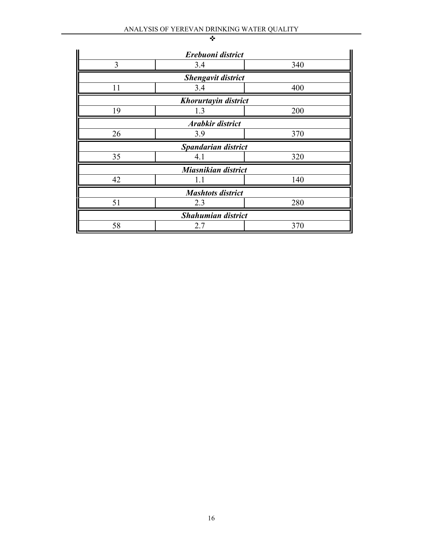|    | Erebuoni district         |     |
|----|---------------------------|-----|
| 3  | 3.4                       | 340 |
|    | <b>Shengavit district</b> |     |
| 11 | 3.4                       | 400 |
|    | Khorurtayin district      |     |
| 19 | 1.3                       | 200 |
|    | Arabkir district          |     |
| 26 | 3.9                       | 370 |
|    | Spandarian district       |     |
| 35 | 4.1                       | 320 |
|    | Miasnikian district       |     |
| 42 | 1.1                       | 140 |
|    | <b>Mashtots district</b>  |     |
| 51 | 2.3                       | 280 |
|    | <b>Shahumian district</b> |     |
| 58 | 2.7                       | 370 |